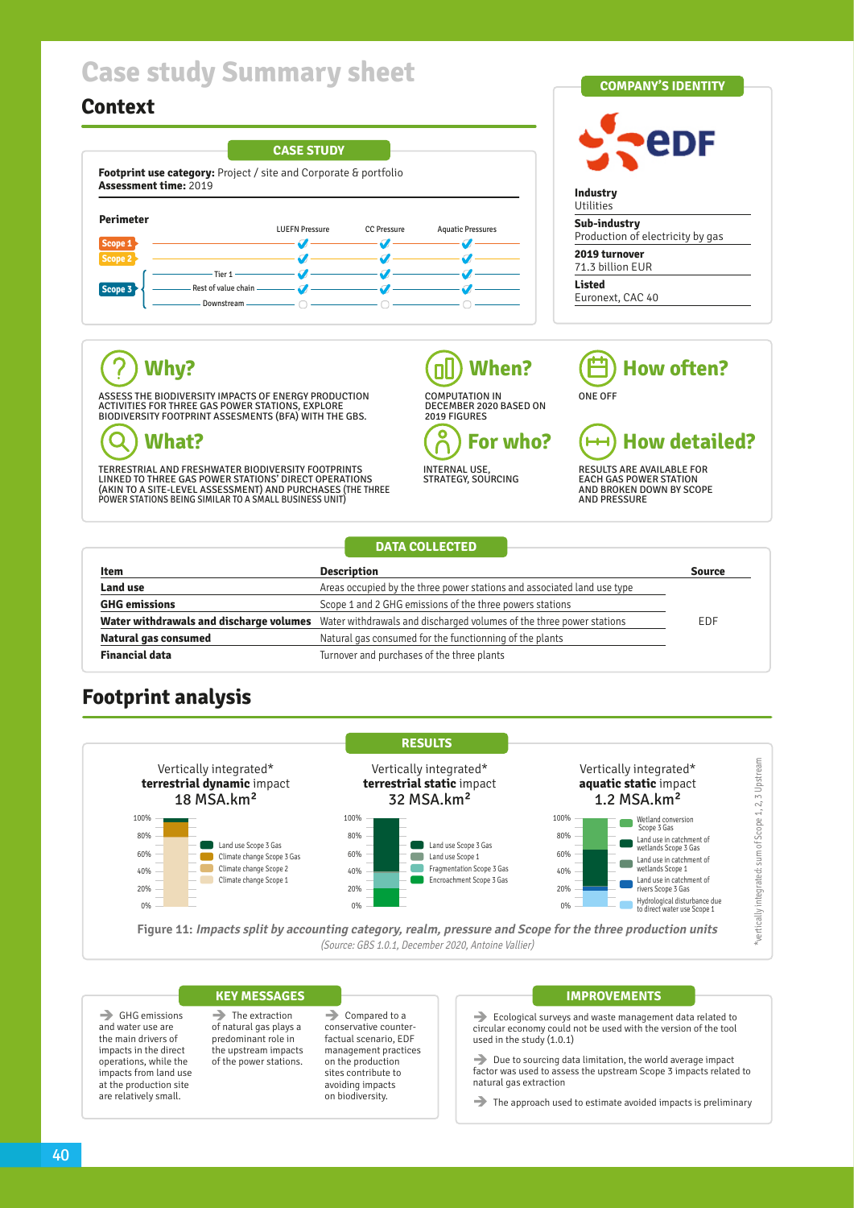# **Case study Summary sheet**

## **Context**





### $\widehat{?}$ **Why?**

ASSESS THE BIODIVERSITY IMPACTS OF ENERGY PRODUCTION ACTIVITIES FOR THREE GAS POWER STATIONS, EXPLORE BIODIVERSITY FOOTPRINT ASSESMENTS (BFA) WITH THE GBS.

#### Q **What?**

TERRESTRIAL AND FRESHWATER BIODIVERSITY FOOTPRINTS<br>LINKED TO THREE GAS POWER STATIONS' DIRECT OPERATIONS<br>(AKIN TO A SITE-LEVEL ASSESSMENT) AND PURCHASES (THE THREE POWER STATIONS BEING SIMILAR TO A SMALL BUSINESS UNIT)

### **When?** пU

COMPUTATION IN DECEMBER 2020 BASED ON 2019 FIGURES **For who?**  $\mathcal{C}_{\mathcal{C}}$ 



INTERNAL USE, STRATEGY, SOURCING

#### **How detailed?**  $\mapsto$ RESULTS ARE AVAILABLE FOR EACH GAS POWER STATION AND BROKEN DOWN BY SCOPE **AND PRESSURE**

ONE OFF

**How often?**

**DATA COLLECTED** FIGURE 11 Impacts spectrum in pressure and Scope for the three production units (Source: GBS 1.0.1, December 2020, Antoine Vallier, GBS 1.0.1, December 2020, Antoine Vallier, Antoine Vallier, Antoine Vallier, Antoine Vall  $F = \begin{bmatrix} 1 & 1 & 1 \end{bmatrix}$  is a production units (Source: GBS 1.0.1, December 2020, Antoine Vallier,  $\begin{bmatrix} 1 & 1 \end{bmatrix}$  $F = 1$  impacts spectrum and Scope for the three production units (Source: GBS 1.0.1, December 2020, Antoine Vallier,  $S = 1.0, S = 1.0, T = 1.0, T = 1.0, T = 1.0, T = 1.0, T = 1.0, T = 1.0, T = 1.0, T = 1.0, T = 1.0, T = 1.0, T = 1.0, T = 1.0, T = 1.$ 

| Item                        | <b>Description</b>                                                                                           | <b>Source</b> |
|-----------------------------|--------------------------------------------------------------------------------------------------------------|---------------|
| <b>Land use</b>             | Areas occupied by the three power stations and associated land use type                                      |               |
| <b>GHG emissions</b>        | Scope 1 and 2 GHG emissions of the three powers stations                                                     |               |
|                             | Water withdrawals and discharge volumes Water withdrawals and discharged volumes of the three power stations | <b>EDF</b>    |
| <b>Natural gas consumed</b> | Natural gas consumed for the functionning of the plants                                                      |               |
| <b>Financial data</b>       | Turnover and purchases of the three plants                                                                   |               |

## **Footprint analysis**



### $\rightarrow$  The extraction **KEY MESSAGES**

 $\rightarrow$  GHG emissions and water use are the main drivers of impacts in the direct operations, while the impacts from land use at the production site are relatively small.

of natural gas plays a predominant role in the upstream impacts of the power stations.  $\rightarrow$  Compared to a conservative counterfactual scenario, EDF management practices on the production sites contribute to avoiding impacts on biodiversity.

### **IMPROVEMENTS**

 $\rightarrow$  Ecological surveys and waste management data related to circular economy could not be used with the version of the tool used in the study (1.0.1)

 $\rightarrow$  Due to sourcing data limitation, the world average impact factor was used to assess the upstream Scope 3 impacts related to natural gas extraction

 $\rightarrow$  The approach used to estimate avoided impacts is preliminary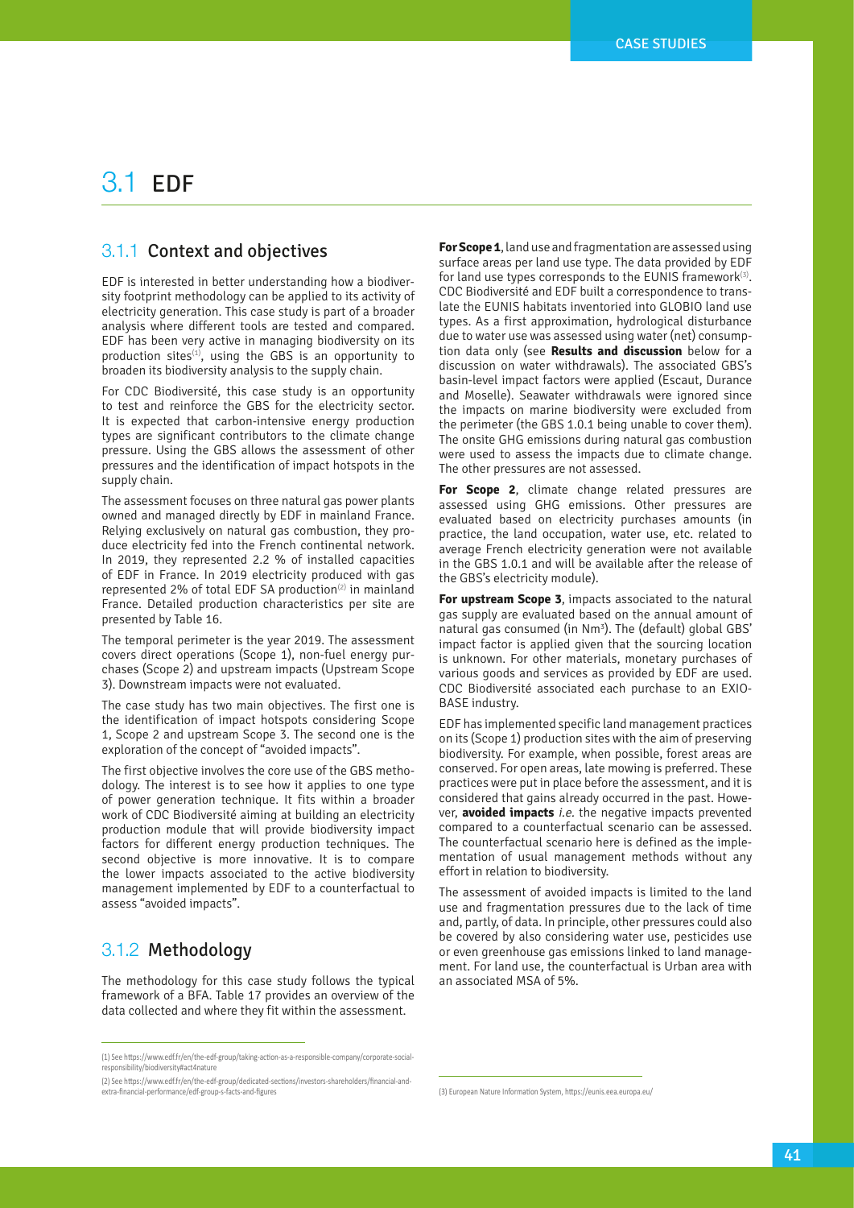## 3.1 EDF

## 3.1.1 Context and objectives

EDF is interested in better understanding how a biodiversity footprint methodology can be applied to its activity of electricity generation. This case study is part of a broader analysis where different tools are tested and compared. EDF has been very active in managing biodiversity on its production sites $(1)$ , using the GBS is an opportunity to broaden its biodiversity analysis to the supply chain.

For CDC Biodiversité, this case study is an opportunity to test and reinforce the GBS for the electricity sector. It is expected that carbon-intensive energy production types are significant contributors to the climate change pressure. Using the GBS allows the assessment of other pressures and the identification of impact hotspots in the supply chain.

The assessment focuses on three natural gas power plants owned and managed directly by EDF in mainland France. Relying exclusively on natural gas combustion, they produce electricity fed into the French continental network. In 2019, they represented 2.2 % of installed capacities of EDF in France. In 2019 electricity produced with gas represented 2% of total EDF SA production<sup>(2)</sup> in mainland France. Detailed production characteristics per site are presented by Table 16.

The temporal perimeter is the year 2019. The assessment covers direct operations (Scope 1), non-fuel energy purchases (Scope 2) and upstream impacts (Upstream Scope 3). Downstream impacts were not evaluated.

The case study has two main objectives. The first one is the identification of impact hotspots considering Scope 1, Scope 2 and upstream Scope 3. The second one is the exploration of the concept of "avoided impacts".

The first objective involves the core use of the GBS methodology. The interest is to see how it applies to one type of power generation technique. It fits within a broader work of CDC Biodiversité aiming at building an electricity production module that will provide biodiversity impact factors for different energy production techniques. The second objective is more innovative. It is to compare the lower impacts associated to the active biodiversity management implemented by EDF to a counterfactual to assess "avoided impacts".

## 3.1.2 Methodology

The methodology for this case study follows the typical framework of a BFA. Table 17 provides an overview of the data collected and where they fit within the assessment.

**For Scope 1**, land use and fragmentation are assessed using surface areas per land use type. The data provided by EDF for land use types corresponds to the EUNIS framework<sup>(3)</sup>. CDC Biodiversité and EDF built a correspondence to translate the EUNIS habitats inventoried into GLOBIO land use types. As a first approximation, hydrological disturbance due to water use was assessed using water (net) consumption data only (see **Results and discussion** below for a discussion on water withdrawals). The associated GBS's basin-level impact factors were applied (Escaut, Durance and Moselle). Seawater withdrawals were ignored since the impacts on marine biodiversity were excluded from the perimeter (the GBS 1.0.1 being unable to cover them). The onsite GHG emissions during natural gas combustion were used to assess the impacts due to climate change. The other pressures are not assessed.

**For Scope 2**, climate change related pressures are assessed using GHG emissions. Other pressures are evaluated based on electricity purchases amounts (in practice, the land occupation, water use, etc. related to average French electricity generation were not available in the GBS 1.0.1 and will be available after the release of the GBS's electricity module).

**For upstream Scope 3**, impacts associated to the natural gas supply are evaluated based on the annual amount of natural gas consumed (in Nm<sup>3</sup>). The (default) global GBS' impact factor is applied given that the sourcing location is unknown. For other materials, monetary purchases of various goods and services as provided by EDF are used. CDC Biodiversité associated each purchase to an EXIO-BASE industry.

EDF has implemented specific land management practices on its (Scope 1) production sites with the aim of preserving biodiversity. For example, when possible, forest areas are conserved. For open areas, late mowing is preferred. These practices were put in place before the assessment, and it is considered that gains already occurred in the past. However, **avoided impacts** i.e. the negative impacts prevented compared to a counterfactual scenario can be assessed. The counterfactual scenario here is defined as the implementation of usual management methods without any effort in relation to biodiversity.

The assessment of avoided impacts is limited to the land use and fragmentation pressures due to the lack of time and, partly, of data. In principle, other pressures could also be covered by also considering water use, pesticides use or even greenhouse gas emissions linked to land management. For land use, the counterfactual is Urban area with an associated MSA of 5%.

<sup>(1)</sup> See https://www.edf.fr/en/the-edf-group/taking-action-as-a-responsible-company/corporate-social-responsibility/biodiversity#act4nature

<sup>(2)</sup> See [https://www.edf.fr/en/the-edf-group/dedicated-sections/investors-shareholders/financial-and](https://www.edf.fr/en/the-edf-group/dedicated-sections/investors-shareholders/financial-and-extra-financial-performance/edf-group-s-facts-and-figures)[extra-financial-performance/edf-group-s-facts-and-figures](https://www.edf.fr/en/the-edf-group/dedicated-sections/investors-shareholders/financial-and-extra-financial-performance/edf-group-s-facts-and-figures) 

<sup>(3)</sup> European Nature Information System,<https://eunis.eea.europa.eu/>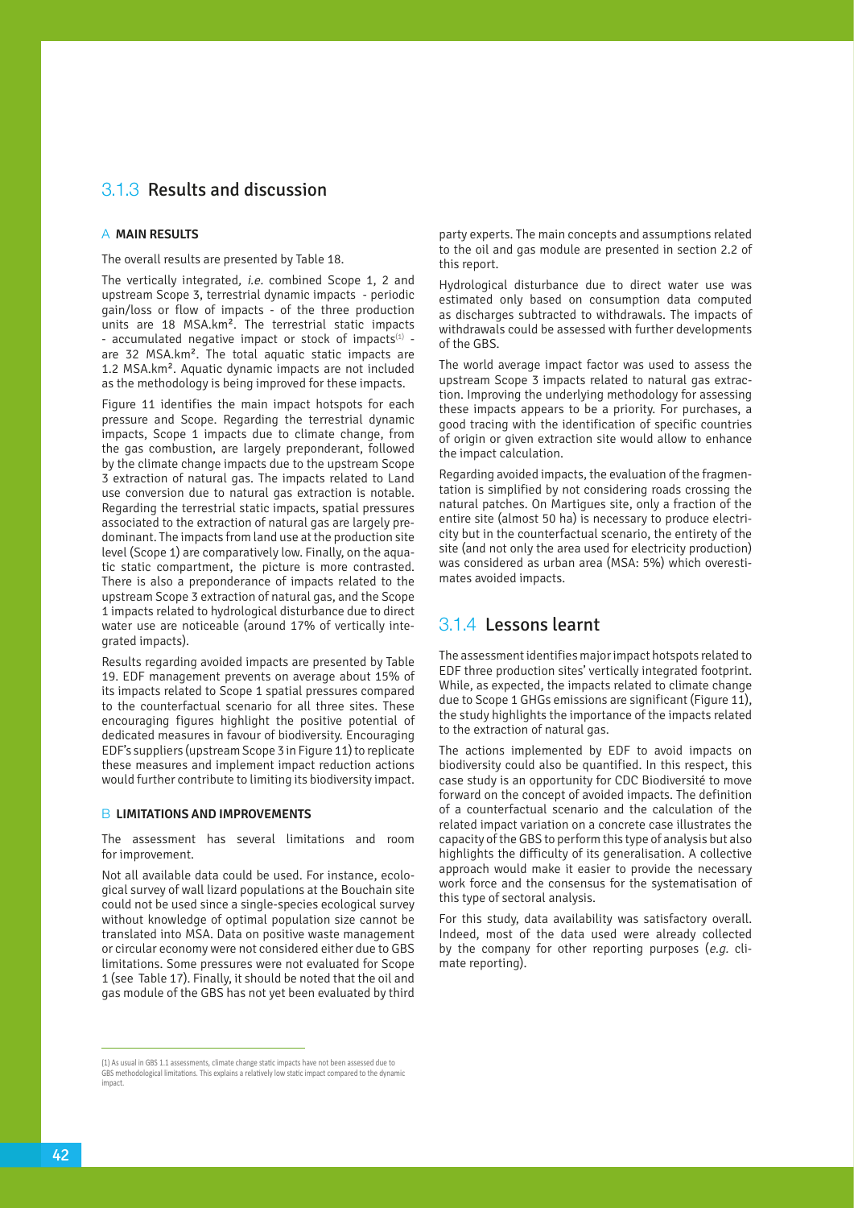## 3.1.3 Results and discussion

### a **MAIN RESULTS**

The overall results are presented by Table 18.

The vertically integrated, i.e. combined Scope 1, 2 and upstream Scope 3, terrestrial dynamic impacts - periodic gain/loss or flow of impacts - of the three production units are 18 MSA.km². The terrestrial static impacts - accumulated negative impact or stock of impacts $(1)$  are 32 MSA.km². The total aquatic static impacts are 1.2 MSA.km². Aquatic dynamic impacts are not included as the methodology is being improved for these impacts.

Figure 11 identifies the main impact hotspots for each pressure and Scope. Regarding the terrestrial dynamic impacts, Scope 1 impacts due to climate change, from the gas combustion, are largely preponderant, followed by the climate change impacts due to the upstream Scope 3 extraction of natural gas. The impacts related to Land use conversion due to natural gas extraction is notable. Regarding the terrestrial static impacts, spatial pressures associated to the extraction of natural gas are largely predominant. The impacts from land use at the production site level (Scope 1) are comparatively low. Finally, on the aquatic static compartment, the picture is more contrasted. There is also a preponderance of impacts related to the upstream Scope 3 extraction of natural gas, and the Scope 1 impacts related to hydrological disturbance due to direct water use are noticeable (around 17% of vertically integrated impacts).

Results regarding avoided impacts are presented by Table 19. EDF management prevents on average about 15% of its impacts related to Scope 1 spatial pressures compared to the counterfactual scenario for all three sites. These encouraging figures highlight the positive potential of dedicated measures in favour of biodiversity. Encouraging EDF's suppliers (upstream Scope 3 in Figure 11) to replicate these measures and implement impact reduction actions would further contribute to limiting its biodiversity impact.

#### **B LIMITATIONS AND IMPROVEMENTS**

The assessment has several limitations and room for improvement.

Not all available data could be used. For instance, ecological survey of wall lizard populations at the Bouchain site could not be used since a single-species ecological survey without knowledge of optimal population size cannot be translated into MSA. Data on positive waste management or circular economy were not considered either due to GBS limitations. Some pressures were not evaluated for Scope 1 (see Table 17). Finally, it should be noted that the oil and gas module of the GBS has not yet been evaluated by third

(1) As usual in GBS 1.1 assessments, climate change static impacts have not been assessed due to GBS methodological limitations. This explains a relatively low static impact compared to the dynamic impact.

party experts. The main concepts and assumptions related to the oil and gas module are presented in section 2.2 of this report.

Hydrological disturbance due to direct water use was estimated only based on consumption data computed as discharges subtracted to withdrawals. The impacts of withdrawals could be assessed with further developments of the GBS.

The world average impact factor was used to assess the upstream Scope 3 impacts related to natural gas extraction. Improving the underlying methodology for assessing these impacts appears to be a priority. For purchases, a good tracing with the identification of specific countries of origin or given extraction site would allow to enhance the impact calculation.

Regarding avoided impacts, the evaluation of the fragmentation is simplified by not considering roads crossing the natural patches. On Martigues site, only a fraction of the entire site (almost 50 ha) is necessary to produce electricity but in the counterfactual scenario, the entirety of the site (and not only the area used for electricity production) was considered as urban area (MSA: 5%) which overestimates avoided impacts.

### 3.1.4 Lessons learnt

The assessment identifies major impact hotspots related to EDF three production sites' vertically integrated footprint. While, as expected, the impacts related to climate change due to Scope 1 GHGs emissions are significant (Figure 11), the study highlights the importance of the impacts related to the extraction of natural gas.

The actions implemented by EDF to avoid impacts on biodiversity could also be quantified. In this respect, this case study is an opportunity for CDC Biodiversité to move forward on the concept of avoided impacts. The definition of a counterfactual scenario and the calculation of the related impact variation on a concrete case illustrates the capacity of the GBS to perform this type of analysis but also highlights the difficulty of its generalisation. A collective approach would make it easier to provide the necessary work force and the consensus for the systematisation of this type of sectoral analysis.

For this study, data availability was satisfactory overall. Indeed, most of the data used were already collected by the company for other reporting purposes (e.g. climate reporting).